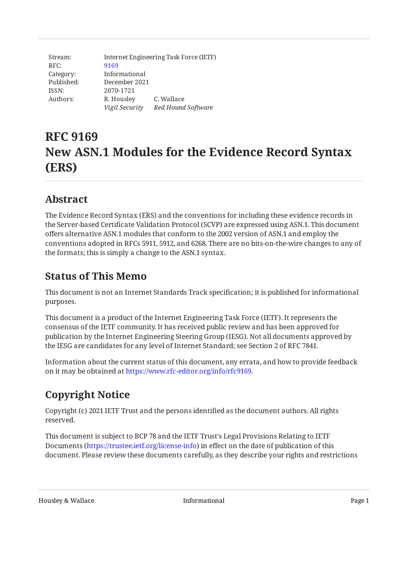| Stream:    | Internet Engineering Task Force (IETF) |                    |  |
|------------|----------------------------------------|--------------------|--|
| RFC:       | 9169                                   |                    |  |
| Category:  | Informational                          |                    |  |
| Published: | December 2021                          |                    |  |
| ISSN:      | 2070-1721                              |                    |  |
| Authors:   | R. Housley                             | C. Wallace         |  |
|            | Vigil Security                         | Red Hound Software |  |

# **RFC 9169 New ASN.1 Modules for the Evidence Record Syntax (ERS)**

## <span id="page-0-0"></span>**[Abstract](#page-0-0)**

The Evidence Record Syntax (ERS) and the conventions for including these evidence records in the Server-based Certificate Validation Protocol (SCVP) are expressed using ASN.1. This document offers alternative ASN.1 modules that conform to the 2002 version of ASN.1 and employ the conventions adopted in RFCs 5911, 5912, and 6268. There are no bits-on-the-wire changes to any of the formats; this is simply a change to the ASN.1 syntax.

## <span id="page-0-1"></span>**[Status of This Memo](#page-0-1)**

This document is not an Internet Standards Track specification; it is published for informational purposes.

This document is a product of the Internet Engineering Task Force (IETF). It represents the consensus of the IETF community. It has received public review and has been approved for publication by the Internet Engineering Steering Group (IESG). Not all documents approved by the IESG are candidates for any level of Internet Standard; see Section 2 of RFC 7841.

Information about the current status of this document, any errata, and how to provide feedback on it may be obtained at [https://www.rfc-editor.org/info/rfc9169.](https://www.rfc-editor.org/info/rfc9169)

# <span id="page-0-2"></span>**[Copyright Notice](#page-0-2)**

Copyright (c) 2021 IETF Trust and the persons identified as the document authors. All rights reserved.

This document is subject to BCP 78 and the IETF Trust's Legal Provisions Relating to IETF Documents (<https://trustee.ietf.org/license-info>) in effect on the date of publication of this document. Please review these documents carefully, as they describe your rights and restrictions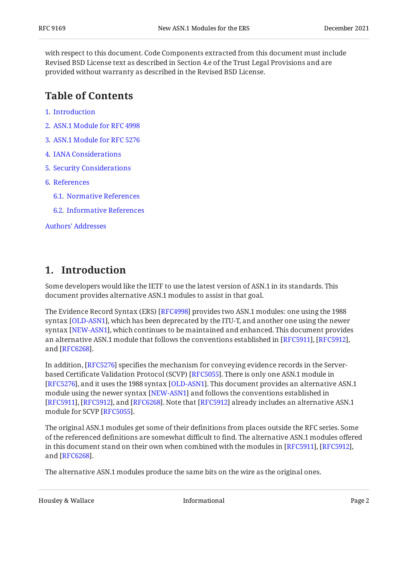with respect to this document. Code Components extracted from this document must include Revised BSD License text as described in Section 4.e of the Trust Legal Provisions and are provided without warranty as described in the Revised BSD License.

## <span id="page-1-0"></span>**[Table of Contents](#page-1-0)**

- [1](#page-1-1). [Introduction](#page-1-1)
- [2](#page-3-0). [ASN.1 Module for RFC 4998](#page-3-0)
- [3](#page-6-0). [ASN.1 Module for RFC 5276](#page-6-0)
- [4](#page-8-0). [IANA Considerations](#page-8-0)
- [5](#page-8-1). [Security Considerations](#page-8-1)
- [6](#page-8-2). [References](#page-8-2)
	- [6.1.](#page-8-3) [Normative References](#page-8-3)
	- [6.2.](#page-9-0) [Informative References](#page-9-0)

[Authors' Addresses](#page-9-1)

## <span id="page-1-1"></span>**[1. Introduction](#page-1-1)**

Some developers would like the IETF to use the latest version of ASN.1 in its standards. This document provides alternative ASN.1 modules to assist in that goal.

The Evidence Record Syntax (ERS) [[RFC4998\]](#page-9-2) provides two ASN.1 modules: one using the 1988 syntax [[OLD-ASN1\]](#page-9-3), which has been deprecated by the ITU-T, and another one using the newer syntax [NEW-ASN1], which continues to be maintained and enhanced. This document provides an alternative ASN.1 module that follows the conventions established in [\[RFC5911\]](#page-9-4), [[RFC5912\]](#page-9-5), and [RFC6268].

In addition, [RFC5276] specifies the mechanism for conveying evidence records in the Server-based Certificate Validation Protocol (SCVP) [[RFC5055\]](#page-9-8). There is only one ASN.1 module in  $\,$ [[RFC5276\]](#page-9-7), and it uses the 1988 syntax [OLD-ASN1]. This document provides an alternative ASN.1  $\,$ module using the newer syntax [\[NEW-ASN1](#page-8-4)] and follows the conventions established in [[RFC5911\]](#page-9-4), [RFC5912], and [RFC6268]. Note that [RFC5912] already includes an alternative ASN.1 module for SCVP [[RFC5055\]](#page-9-8).

The original ASN.1 modules get some of their definitions from places outside the RFC series. Some of the referenced definitions are somewhat difficult to find. The alternative ASN.1 modules offered in this document stand on their own when combined with the modules in [\[RFC5911](#page-9-4)], [\[RFC5912\]](#page-9-5), and [RFC6268].

The alternative ASN.1 modules produce the same bits on the wire as the original ones.

Housley & Wallace Informational Page 2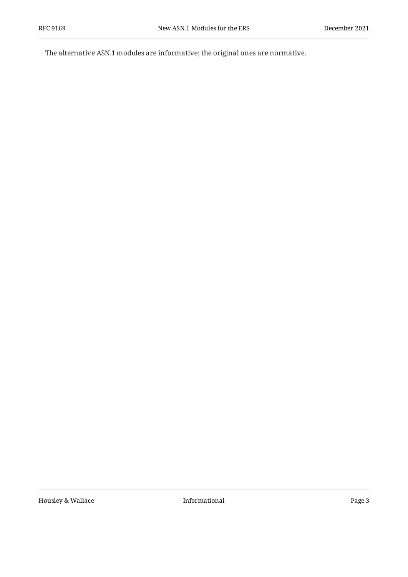The alternative ASN.1 modules are informative; the original ones are normative.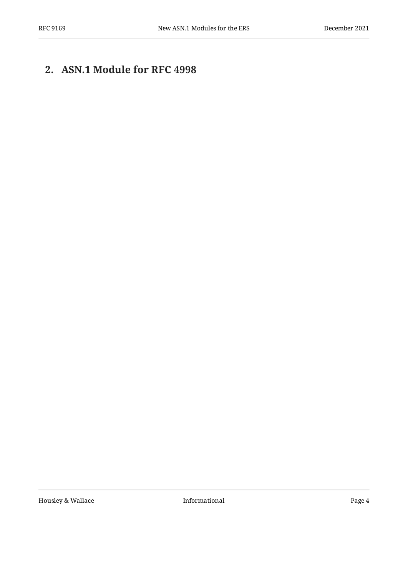# <span id="page-3-0"></span>**[2. ASN.1 Module for RFC 4998](#page-3-0)**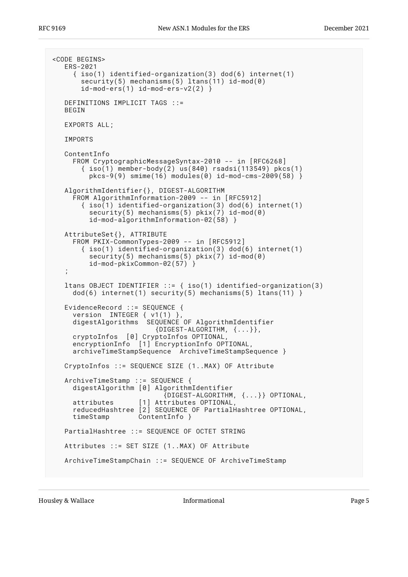```
<CODE BEGINS>
   ERS-2021
      { iso(1) identified-organization(3) dod(6) internet(1)
       security(5) mechanisms(5) ltans(11) id-mod(0)
       id-mod-ers(1) id-mod-ers-v2(2) }
   DEFINITIONS IMPLICIT TAGS ::=
  BEGIN
   EXPORTS ALL;
   IMPORTS
   ContentInfo
     FROM CryptographicMessageSyntax-2010 -- in [RFC6268]
       \{ iso(1) member-body(2) us(840) rsadsi(113549) pkcs(1)
         pkcs-9(9) smime(16) modules(0) id-mod-cms-2009(58) \} AlgorithmIdentifier{}, DIGEST-ALGORITHM
      FROM AlgorithmInformation-2009 -- in [RFC5912]
        { iso(1) identified-organization(3) dod(6) internet(1)
         security(5) mechanisms(5) pix(7) id-mod(0)
          id-mod-algorithmInformation-02(58) }
   AttributeSet{}, ATTRIBUTE
      FROM PKIX-CommonTypes-2009 -- in [RFC5912]
        { iso(1) identified-organization(3) dod(6) internet(1)
         security(5) mechanisms(5) pkix(7) id-mod(0)
          id-mod-pkixCommon-02(57) }
\ddot{\phantom{1}} ltans OBJECT IDENTIFIER ::= { iso(1) identified-organization(3)
    dod(6) internet(1) security(5) mechanisms(5) ltans(11) }
   EvidenceRecord ::= SEQUENCE {
      version INTEGER { v1(1) },
    digestAlgorithms SEQUENCE OF AlgorithmIdentifier
                          {DIGEST-ALGORITHM, <math>\{... \},
     cryptoInfos [0] CryptoInfos OPTIONAL,
      encryptionInfo [1] EncryptionInfo OPTIONAL,
      archiveTimeStampSequence ArchiveTimeStampSequence }
   CryptoInfos ::= SEQUENCE SIZE (1..MAX) OF Attribute
   ArchiveTimeStamp ::= SEQUENCE {
     digestAlgorithm [0] AlgorithmIdentifier
                             {DIGEST-ALGORITHM, {...}} OPTIONAL,
      attributes [1] Attributes OPTIONAL,
      reducedHashtree [2] SEQUENCE OF PartialHashtree OPTIONAL,
     timeStamp ContentInfo }
   PartialHashtree ::= SEQUENCE OF OCTET STRING
   Attributes ::= SET SIZE (1..MAX) OF Attribute
   ArchiveTimeStampChain ::= SEQUENCE OF ArchiveTimeStamp
```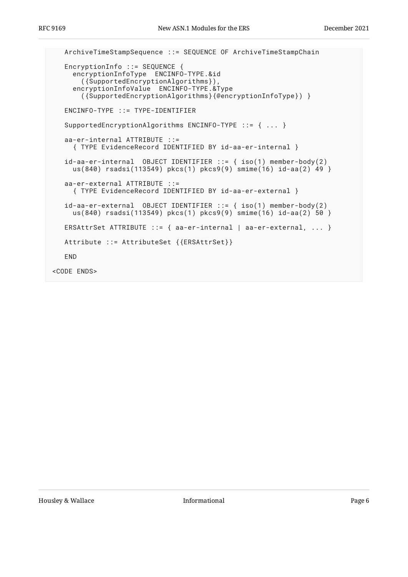```
 ArchiveTimeStampSequence ::= SEQUENCE OF ArchiveTimeStampChain
    EncryptionInfo ::= SEQUENCE {
      encryptionInfoType ENCINFO-TYPE.&id
        ({SupportedEncryptionAlgorithms}),
      encryptionInfoValue ENCINFO-TYPE.&Type
        ({SupportedEncryptionAlgorithms}{@encryptionInfoType}) }
    ENCINFO-TYPE ::= TYPE-IDENTIFIER
    SupportedEncryptionAlgorithms ENCINFO-TYPE ::= { ... }
    aa-er-internal ATTRIBUTE ::=
     { TYPE EvidenceRecord IDENTIFIED BY id-aa-er-internal }
 id-aa-er-internal OBJECT IDENTIFIER ::= { iso(1) member-body(2)
 us(840) rsadsi(113549) pkcs(1) pkcs9(9) smime(16) id-aa(2) 49 }
    aa-er-external ATTRIBUTE ::=
     { TYPE EvidenceRecord IDENTIFIED BY id-aa-er-external }
    id-aa-er-external OBJECT IDENTIFIER ::= { iso(1) member-body(2)
    us(840) rsadsi(113549) pkcs(1) pkcs9(9) smime(16) id-aa(2) 50 }
   ERSAttrSet ATTRIBUTE ::= { aa-er-internal | aa-er-external, ... }
    Attribute ::= AttributeSet {{ERSAttrSet}}
    END
<CODE ENDS>
```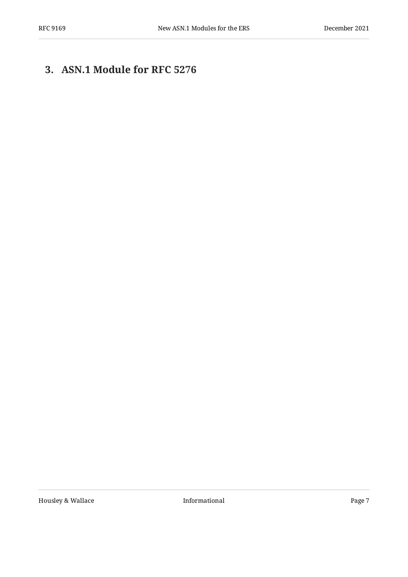# <span id="page-6-0"></span>**[3. ASN.1 Module for RFC 5276](#page-6-0)**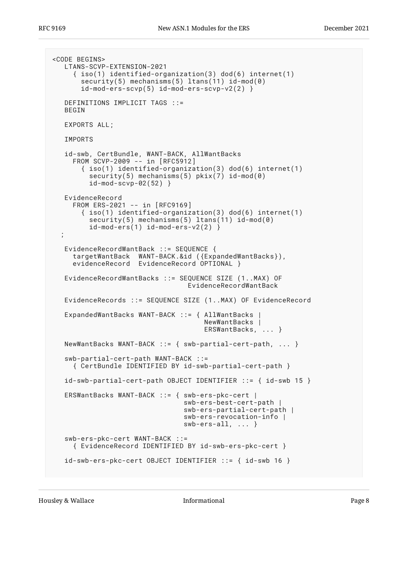```
<CODE BEGINS>
   LTANS-SCVP-EXTENSION-2021
      { iso(1) identified-organization(3) dod(6) internet(1)
       security(5) mechanisms(5) ltans(11) id-mod(0)
        id-mod-ers-scvp(5) id-mod-ers-scvp-v2(2) }
   DEFINITIONS IMPLICIT TAGS ::=
   BEGIN
   EXPORTS ALL;
   IMPORTS
 id-swb, CertBundle, WANT-BACK, AllWantBacks
 FROM SCVP-2009 -- in [RFC5912]
 { iso(1) identified-organization(3) dod(6) internet(1)
 security(5) mechanisms(5) pkix(7) id-mod(0)
          id-mod-scvp-02(52) }
   EvidenceRecord
     FROM ERS-2021 -- in [RFC9169]
        { iso(1) identified-organization(3) dod(6) internet(1)
         security(5) mechanisms(5) ltans(11) id-mod(0)
         id-mod-ers(1) id-mod-ers- v2(2) }
   ;
  EvidenceRecordWantBack ::= SEQUENCE {
     targetWantBack WANT-BACK.&id ({ExpandedWantBacks}),
     evidenceRecord EvidenceRecord OPTIONAL }
   EvidenceRecordWantBacks ::= SEQUENCE SIZE (1..MAX) OF
                                  EvidenceRecordWantBack
   EvidenceRecords ::= SEQUENCE SIZE (1..MAX) OF EvidenceRecord
   ExpandedWantBacks WANT-BACK ::= { AllWantBacks |
                                      NewWantBacks |
                                      ERSWantBacks, ... }
  NewWantBacks WANT-BACK ::= { swb-partial-cert-path, ... }
   swb-partial-cert-path WANT-BACK ::=
      { CertBundle IDENTIFIED BY id-swb-partial-cert-path }
   id-swb-partial-cert-path OBJECT IDENTIFIER ::= { id-swb 15 }
   ERSWantBacks WANT-BACK ::= { swb-ers-pkc-cert |
                                 swb-ers-best-cert-path |
                                 swb-ers-partial-cert-path |
                                 swb-ers-revocation-info |
                                 swb-ers-all, ... }
   swb-ers-pkc-cert WANT-BACK ::=
      { EvidenceRecord IDENTIFIED BY id-swb-ers-pkc-cert }
   id-swb-ers-pkc-cert OBJECT IDENTIFIER ::= { id-swb 16 }
```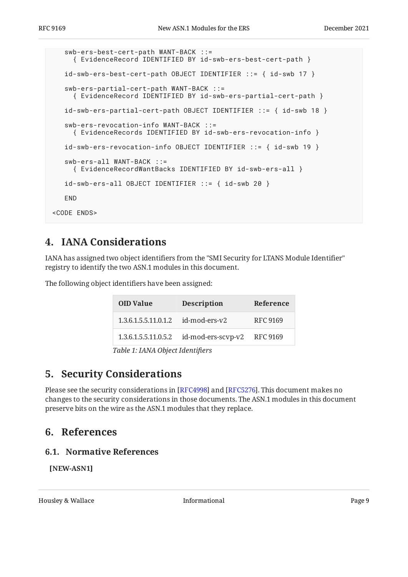```
 swb-ers-best-cert-path WANT-BACK ::=
      { EvidenceRecord IDENTIFIED BY id-swb-ers-best-cert-path }
    id-swb-ers-best-cert-path OBJECT IDENTIFIER ::= { id-swb 17 }
    swb-ers-partial-cert-path WANT-BACK ::=
      { EvidenceRecord IDENTIFIED BY id-swb-ers-partial-cert-path }
    id-swb-ers-partial-cert-path OBJECT IDENTIFIER ::= { id-swb 18 }
    swb-ers-revocation-info WANT-BACK ::=
      { EvidenceRecords IDENTIFIED BY id-swb-ers-revocation-info }
    id-swb-ers-revocation-info OBJECT IDENTIFIER ::= { id-swb 19 }
    swb-ers-all WANT-BACK ::=
      { EvidenceRecordWantBacks IDENTIFIED BY id-swb-ers-all }
    id-swb-ers-all OBJECT IDENTIFIER ::= { id-swb 20 }
    END
<CODE ENDS>
```
## <span id="page-8-0"></span>**[4. IANA Considerations](#page-8-0)**

IANA has assigned two object identifiers from the "SMI Security for LTANS Module Identifier" registry to identify the two ASN.1 modules in this document.

<span id="page-8-6"></span>The following object identifiers have been assigned:

<span id="page-8-5"></span>

|                                  | <b>OID Value</b>     | <b>Description</b> | Reference       |  |
|----------------------------------|----------------------|--------------------|-----------------|--|
|                                  | 1.3.6.1.5.5.11.0.1.2 | id-mod-ers-y2      | <b>RFC 9169</b> |  |
|                                  | 1.3.6.1.5.5.11.0.5.2 | id-mod-ers-scvp-v2 | RFC 9169        |  |
| Table 1: IANA Object Identifiers |                      |                    |                 |  |

<span id="page-8-1"></span>**[5. Security Considerations](#page-8-1)** 

Please see the security considerations in [RFC4998] and [RFC5276]. This document makes no changes to the security considerations in those documents. The ASN.1 modules in this document preserve bits on the wire as the ASN.1 modules that they replace.

## <span id="page-8-3"></span><span id="page-8-2"></span>**[6. References](#page-8-2)**

#### **[6.1. Normative References](#page-8-3)**

<span id="page-8-4"></span>**[NEW-ASN1]**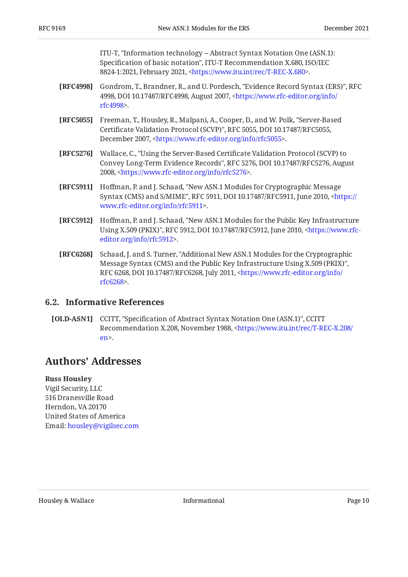ITU-T, "Information technology -- Abstract Syntax Notation One (ASN.1): Specification of basic notation", ITU-T Recommendation X.680, ISO/IEC 8824-1:2021, February 2021, [<https://www.itu.int/rec/T-REC-X.680](https://www.itu.int/rec/T-REC-X.680)>.

- <span id="page-9-2"></span>**[RFC4998]** Gondrom, T., Brandner, R., and U. Pordesch, "Evidence Record Syntax (ERS)", RFC 4998, DOI 10.17487/RFC4998, August 2007, [<https://www.rfc-editor.org/info/](https://www.rfc-editor.org/info/rfc4998) . [rfc4998](https://www.rfc-editor.org/info/rfc4998)>
- <span id="page-9-8"></span>**[RFC5055]** Freeman, T., Housley, R., Malpani, A., Cooper, D., and W. Polk, "Server-Based Certificate Validation Protocol (SCVP)", RFC 5055, DOI 10.17487/RFC5055, December 2007, <https://www.rfc-editor.org/info/rfc5055>.
- <span id="page-9-7"></span>**[RFC5276]** , Wallace, C. "Using the Server-Based Certificate Validation Protocol (SCVP) to Convey Long-Term Evidence Records", RFC 5276, DOI 10.17487/RFC5276, August 2008, <https://www.rfc-editor.org/info/rfc5276>.
- <span id="page-9-4"></span>**[RFC5911]** Hoffman, P. and J. Schaad, "New ASN.1 Modules for Cryptographic Message Syntax (CMS) and S/MIME", RFC 5911, DOI 10.17487/RFC5911, June 2010, [<https://](https://www.rfc-editor.org/info/rfc5911) . [www.rfc-editor.org/info/rfc5911>](https://www.rfc-editor.org/info/rfc5911)
- <span id="page-9-5"></span>**[RFC5912]** Hoffman, P. and J. Schaad, "New ASN.1 Modules for the Public Key Infrastructure Using X.509 (PKIX)", RFC 5912, DOI 10.17487/RFC5912, June 2010, <[https://www.rfc-](https://www.rfc-editor.org/info/rfc5912). [editor.org/info/rfc5912](https://www.rfc-editor.org/info/rfc5912)>
- <span id="page-9-6"></span>**[RFC6268]** Schaad, J. and S. Turner, "Additional New ASN.1 Modules for the Cryptographic , Message Syntax (CMS) and the Public Key Infrastructure Using X.509 (PKIX)" RFC 6268, DOI 10.17487/RFC6268, July 2011, [<https://www.rfc-editor.org/info/](https://www.rfc-editor.org/info/rfc6268) . [rfc6268](https://www.rfc-editor.org/info/rfc6268)>

#### <span id="page-9-0"></span>**[6.2. Informative References](#page-9-0)**

<span id="page-9-3"></span>**[OLD-ASN1]** CCITT, "Specification of Abstract Syntax Notation One (ASN.1)", CCITT Recommendation X.208, November 1988, [<https://www.itu.int/rec/T-REC-X.208/](https://www.itu.int/rec/T-REC-X.208/en) . [en>](https://www.itu.int/rec/T-REC-X.208/en)

## <span id="page-9-1"></span>**[Authors' Addresses](#page-9-1)**

#### **Russ Housley**

Vigil Security, LLC 516 Dranesville Road Herndon, VA 20170 United States of America Email: [housley@vigilsec.com](mailto:housley@vigilsec.com)